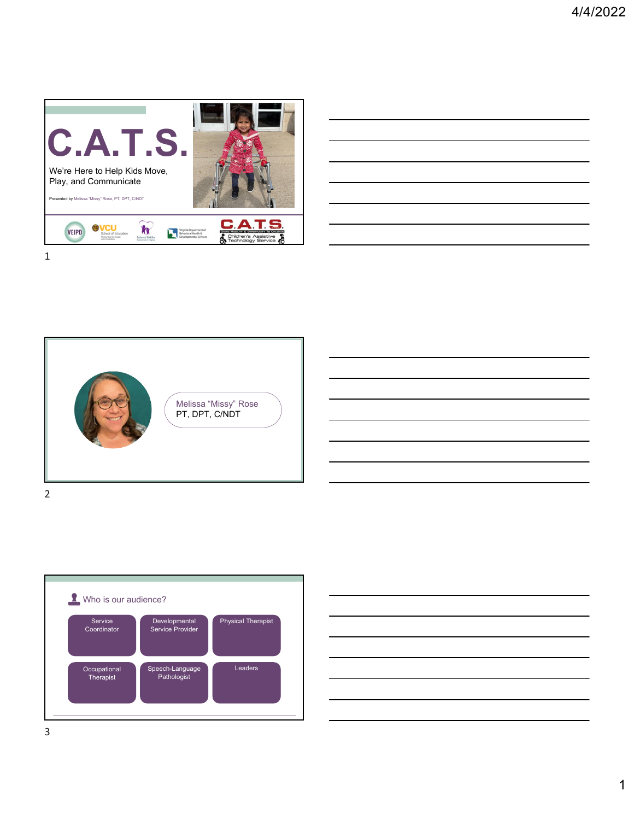







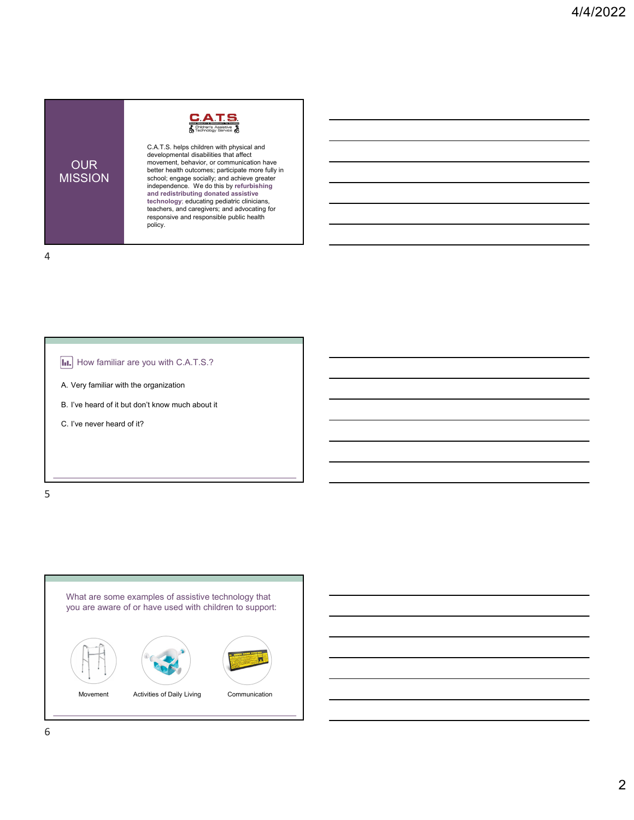

C.A.T.S. helps children with physical and developmental disabilities that affect movement, behavior, or communication have better health outcomes; participate more fully in school; engage socially; and achieve greater independence. We do this by **refurbishing and redistributing donated assistive technology**; educating pediatric clinicians, teachers, and caregivers; and advocating for responsive and responsible public health policy.

4

OUR MISSION



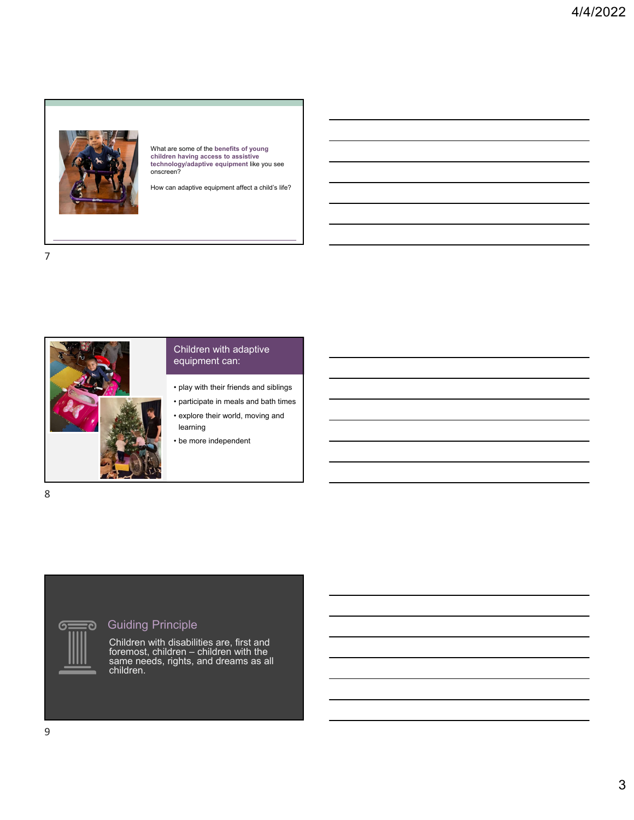

What are some of the **benefits of young children having access to assistive technology/adaptive equipment** like you see onscreen?

How can adaptive equipment affect a child's life?



## Children with adaptive equipment can:

- play with their friends and siblings
- participate in meals and bath times
- explore their world, moving and learning
- be more independent

8

## <del></del><br>
<del></del> Guiding Principle

Children with disabilities are, first and foremost, children – children with the same needs, rights, and dreams as all children.

 $\sigma$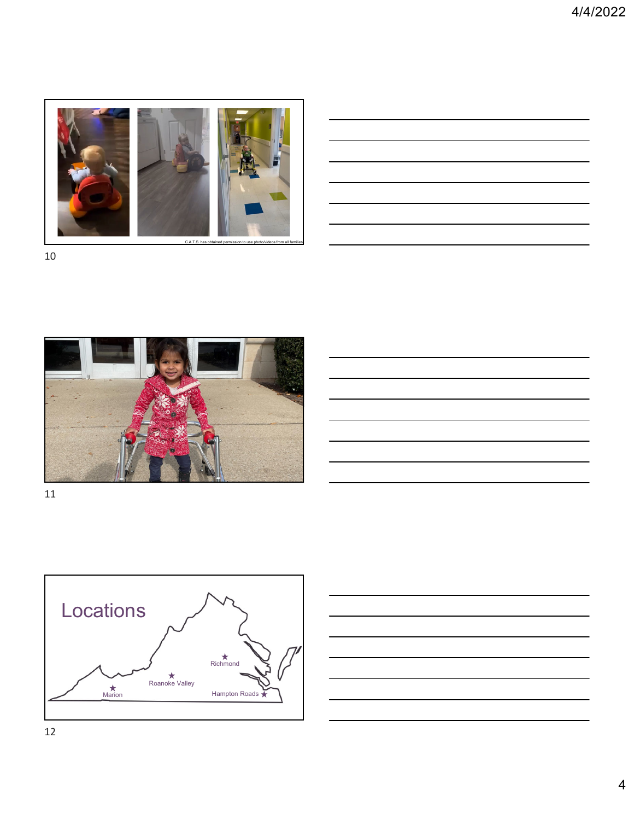

| <u> 1989 - Andrea Santa Andrea Andrea Andrea Andrea Andrea Andrea Andrea Andrea Andrea Andrea Andrea Andrea Andr</u>   |  |  |
|------------------------------------------------------------------------------------------------------------------------|--|--|
| <u> 1989 - Johann Barn, mars and de Branch Barn, mars and de Branch Barn, mars and de Branch Barn, mars and de Br</u>  |  |  |
| <u> 1989 - Andrea Andrew Maria (h. 1989).</u>                                                                          |  |  |
| <u> 1989 - Andrea Andrew Maria (h. 1989).</u>                                                                          |  |  |
|                                                                                                                        |  |  |
| <u> 1989 - Johann Barn, mars ann an t-Amhainn an t-Amhainn an t-Amhainn an t-Amhainn an t-Amhainn an t-Amhainn an </u> |  |  |
|                                                                                                                        |  |  |







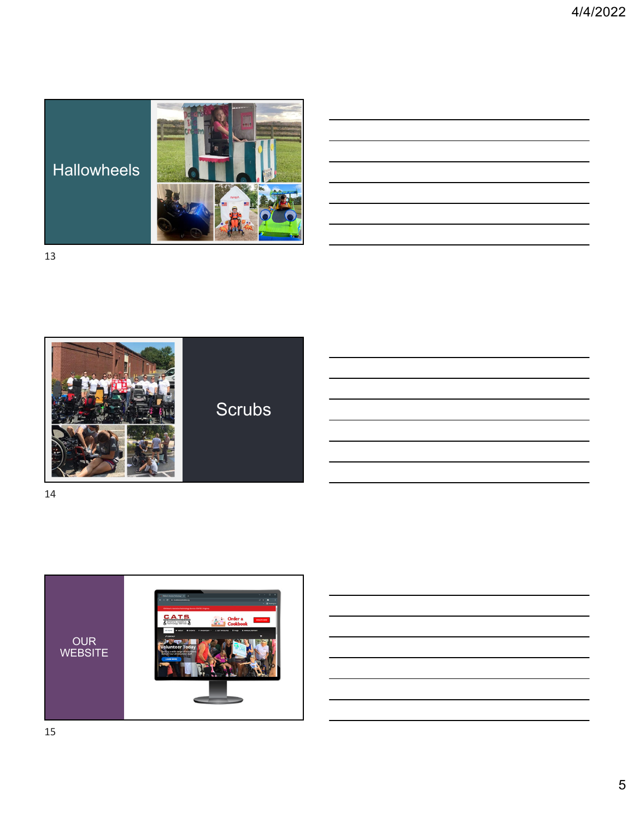Hallowheels



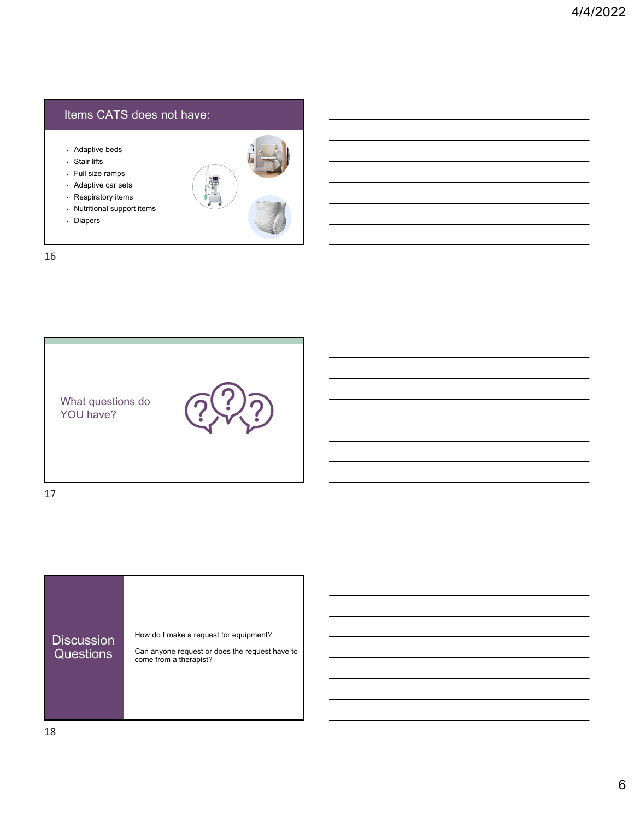## Items CATS does not have:

- Adaptive beds
- Stair lifts
- Full size ramps
- Adaptive car sets
- Respiratory items
- Nutritional support items
- Diapers

ċ.,





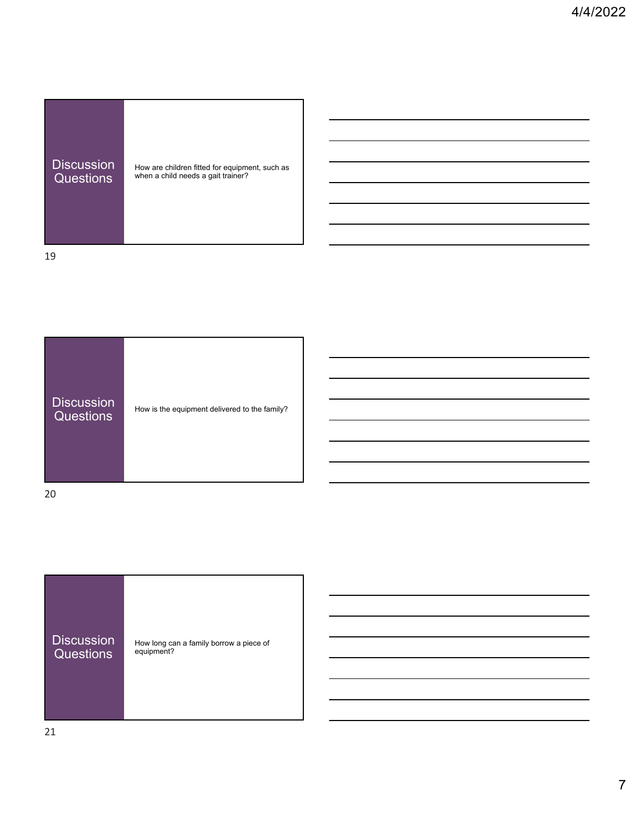| <b>Discussion</b> | How are children fitted for equipment, such as |
|-------------------|------------------------------------------------|
| <b>Questions</b>  | when a child needs a gait trainer?             |

**College** 19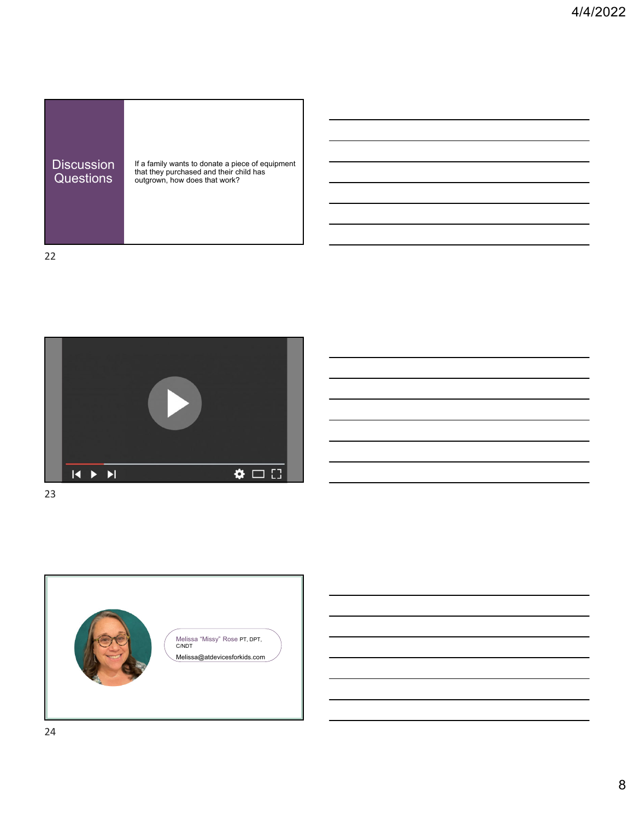